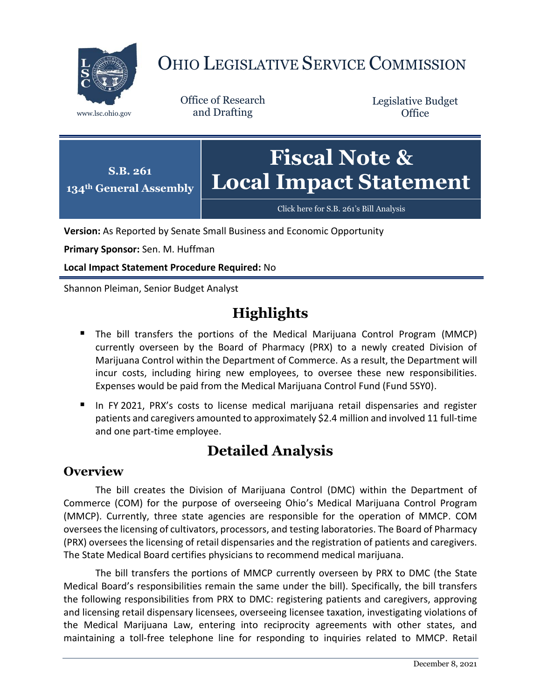

# OHIO LEGISLATIVE SERVICE COMMISSION

Office of Research www.lsc.ohio.gov and Drafting

Legislative Budget **Office** 



[Click here for S.B. 261](https://www.legislature.ohio.gov/legislation/legislation-documents?id=GA134-SB-261)'s Bill Analysis

**Version:** As Reported by Senate Small Business and Economic Opportunity

**Primary Sponsor:** Sen. M. Huffman

**Local Impact Statement Procedure Required:** No

Shannon Pleiman, Senior Budget Analyst

## **Highlights**

- The bill transfers the portions of the Medical Marijuana Control Program (MMCP) currently overseen by the Board of Pharmacy (PRX) to a newly created Division of Marijuana Control within the Department of Commerce. As a result, the Department will incur costs, including hiring new employees, to oversee these new responsibilities. Expenses would be paid from the Medical Marijuana Control Fund (Fund 5SY0).
- In FY 2021, PRX's costs to license medical marijuana retail dispensaries and register patients and caregivers amounted to approximately \$2.4 million and involved 11 full-time and one part-time employee.

## **Detailed Analysis**

#### **Overview**

The bill creates the Division of Marijuana Control (DMC) within the Department of Commerce (COM) for the purpose of overseeing Ohio's Medical Marijuana Control Program (MMCP). Currently, three state agencies are responsible for the operation of MMCP. COM oversees the licensing of cultivators, processors, and testing laboratories. The Board of Pharmacy (PRX) oversees the licensing of retail dispensaries and the registration of patients and caregivers. The State Medical Board certifies physicians to recommend medical marijuana.

The bill transfers the portions of MMCP currently overseen by PRX to DMC (the State Medical Board's responsibilities remain the same under the bill). Specifically, the bill transfers the following responsibilities from PRX to DMC: registering patients and caregivers, approving and licensing retail dispensary licensees, overseeing licensee taxation, investigating violations of the Medical Marijuana Law, entering into reciprocity agreements with other states, and maintaining a toll-free telephone line for responding to inquiries related to MMCP. Retail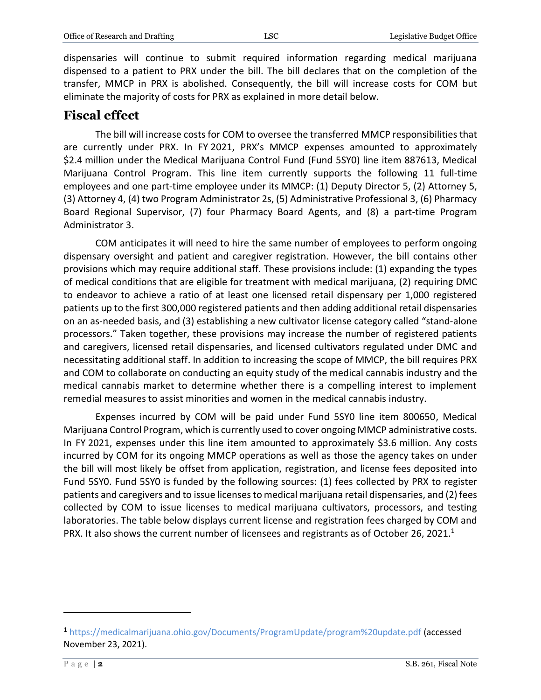dispensaries will continue to submit required information regarding medical marijuana dispensed to a patient to PRX under the bill. The bill declares that on the completion of the transfer, MMCP in PRX is abolished. Consequently, the bill will increase costs for COM but eliminate the majority of costs for PRX as explained in more detail below.

### **Fiscal effect**

The bill will increase costs for COM to oversee the transferred MMCP responsibilities that are currently under PRX. In FY 2021, PRX's MMCP expenses amounted to approximately \$2.4 million under the Medical Marijuana Control Fund (Fund 5SY0) line item 887613, Medical Marijuana Control Program. This line item currently supports the following 11 full-time employees and one part-time employee under its MMCP: (1) Deputy Director 5, (2) Attorney 5, (3) Attorney 4, (4) two Program Administrator 2s, (5) Administrative Professional 3, (6) Pharmacy Board Regional Supervisor, (7) four Pharmacy Board Agents, and (8) a part-time Program Administrator 3.

COM anticipates it will need to hire the same number of employees to perform ongoing dispensary oversight and patient and caregiver registration. However, the bill contains other provisions which may require additional staff. These provisions include: (1) expanding the types of medical conditions that are eligible for treatment with medical marijuana, (2) requiring DMC to endeavor to achieve a ratio of at least one licensed retail dispensary per 1,000 registered patients up to the first 300,000 registered patients and then adding additional retail dispensaries on an as-needed basis, and (3) establishing a new cultivator license category called "stand-alone processors." Taken together, these provisions may increase the number of registered patients and caregivers, licensed retail dispensaries, and licensed cultivators regulated under DMC and necessitating additional staff. In addition to increasing the scope of MMCP, the bill requires PRX and COM to collaborate on conducting an equity study of the medical cannabis industry and the medical cannabis market to determine whether there is a compelling interest to implement remedial measures to assist minorities and women in the medical cannabis industry.

Expenses incurred by COM will be paid under Fund 5SY0 line item 800650, Medical Marijuana Control Program, which is currently used to cover ongoing MMCP administrative costs. In FY 2021, expenses under this line item amounted to approximately \$3.6 million. Any costs incurred by COM for its ongoing MMCP operations as well as those the agency takes on under the bill will most likely be offset from application, registration, and license fees deposited into Fund 5SY0. Fund 5SY0 is funded by the following sources: (1) fees collected by PRX to register patients and caregivers and to issue licenses to medical marijuana retail dispensaries, and (2) fees collected by COM to issue licenses to medical marijuana cultivators, processors, and testing laboratories. The table below displays current license and registration fees charged by COM and PRX. It also shows the current number of licensees and registrants as of October 26, 2021.<sup>1</sup>

 $\overline{a}$ 

<sup>1</sup> <https://medicalmarijuana.ohio.gov/Documents/ProgramUpdate/program%20update.pdf> (accessed November 23, 2021).